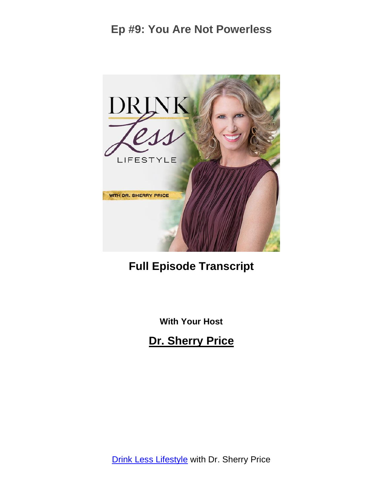

# **Full Episode Transcript**

**With Your Host**

**Dr. Sherry Price**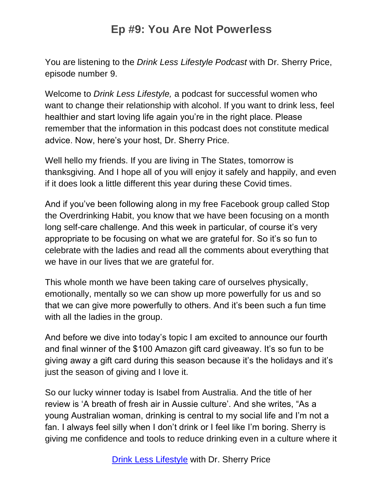You are listening to the *Drink Less Lifestyle Podcast* with Dr. Sherry Price, episode number 9.

Welcome to *Drink Less Lifestyle,* a podcast for successful women who want to change their relationship with alcohol. If you want to drink less, feel healthier and start loving life again you're in the right place. Please remember that the information in this podcast does not constitute medical advice. Now, here's your host, Dr. Sherry Price.

Well hello my friends. If you are living in The States, tomorrow is thanksgiving. And I hope all of you will enjoy it safely and happily, and even if it does look a little different this year during these Covid times.

And if you've been following along in my free Facebook group called Stop the Overdrinking Habit, you know that we have been focusing on a month long self-care challenge. And this week in particular, of course it's very appropriate to be focusing on what we are grateful for. So it's so fun to celebrate with the ladies and read all the comments about everything that we have in our lives that we are grateful for.

This whole month we have been taking care of ourselves physically, emotionally, mentally so we can show up more powerfully for us and so that we can give more powerfully to others. And it's been such a fun time with all the ladies in the group.

And before we dive into today's topic I am excited to announce our fourth and final winner of the \$100 Amazon gift card giveaway. It's so fun to be giving away a gift card during this season because it's the holidays and it's just the season of giving and I love it.

So our lucky winner today is Isabel from Australia. And the title of her review is 'A breath of fresh air in Aussie culture'. And she writes, "As a young Australian woman, drinking is central to my social life and I'm not a fan. I always feel silly when I don't drink or I feel like I'm boring. Sherry is giving me confidence and tools to reduce drinking even in a culture where it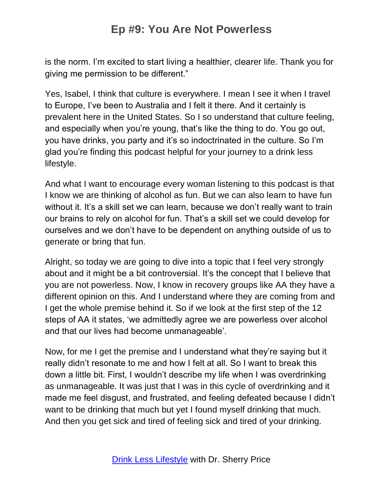is the norm. I'm excited to start living a healthier, clearer life. Thank you for giving me permission to be different."

Yes, Isabel, I think that culture is everywhere. I mean I see it when I travel to Europe, I've been to Australia and I felt it there. And it certainly is prevalent here in the United States. So I so understand that culture feeling, and especially when you're young, that's like the thing to do. You go out, you have drinks, you party and it's so indoctrinated in the culture. So I'm glad you're finding this podcast helpful for your journey to a drink less lifestyle.

And what I want to encourage every woman listening to this podcast is that I know we are thinking of alcohol as fun. But we can also learn to have fun without it. It's a skill set we can learn, because we don't really want to train our brains to rely on alcohol for fun. That's a skill set we could develop for ourselves and we don't have to be dependent on anything outside of us to generate or bring that fun.

Alright, so today we are going to dive into a topic that I feel very strongly about and it might be a bit controversial. It's the concept that I believe that you are not powerless. Now, I know in recovery groups like AA they have a different opinion on this. And I understand where they are coming from and I get the whole premise behind it. So if we look at the first step of the 12 steps of AA it states, 'we admittedly agree we are powerless over alcohol and that our lives had become unmanageable'.

Now, for me I get the premise and I understand what they're saying but it really didn't resonate to me and how I felt at all. So I want to break this down a little bit. First, I wouldn't describe my life when I was overdrinking as unmanageable. It was just that I was in this cycle of overdrinking and it made me feel disgust, and frustrated, and feeling defeated because I didn't want to be drinking that much but yet I found myself drinking that much. And then you get sick and tired of feeling sick and tired of your drinking.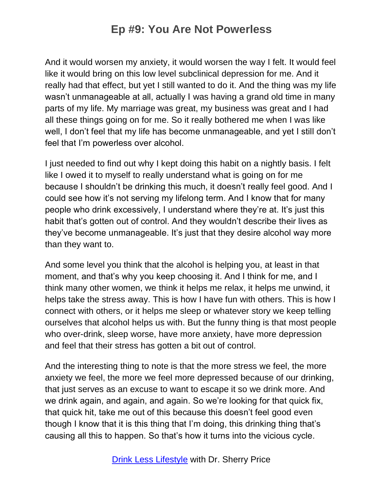And it would worsen my anxiety, it would worsen the way I felt. It would feel like it would bring on this low level subclinical depression for me. And it really had that effect, but yet I still wanted to do it. And the thing was my life wasn't unmanageable at all, actually I was having a grand old time in many parts of my life. My marriage was great, my business was great and I had all these things going on for me. So it really bothered me when I was like well, I don't feel that my life has become unmanageable, and yet I still don't feel that I'm powerless over alcohol.

I just needed to find out why I kept doing this habit on a nightly basis. I felt like I owed it to myself to really understand what is going on for me because I shouldn't be drinking this much, it doesn't really feel good. And I could see how it's not serving my lifelong term. And I know that for many people who drink excessively, I understand where they're at. It's just this habit that's gotten out of control. And they wouldn't describe their lives as they've become unmanageable. It's just that they desire alcohol way more than they want to.

And some level you think that the alcohol is helping you, at least in that moment, and that's why you keep choosing it. And I think for me, and I think many other women, we think it helps me relax, it helps me unwind, it helps take the stress away. This is how I have fun with others. This is how I connect with others, or it helps me sleep or whatever story we keep telling ourselves that alcohol helps us with. But the funny thing is that most people who over-drink, sleep worse, have more anxiety, have more depression and feel that their stress has gotten a bit out of control.

And the interesting thing to note is that the more stress we feel, the more anxiety we feel, the more we feel more depressed because of our drinking, that just serves as an excuse to want to escape it so we drink more. And we drink again, and again, and again. So we're looking for that quick fix, that quick hit, take me out of this because this doesn't feel good even though I know that it is this thing that I'm doing, this drinking thing that's causing all this to happen. So that's how it turns into the vicious cycle.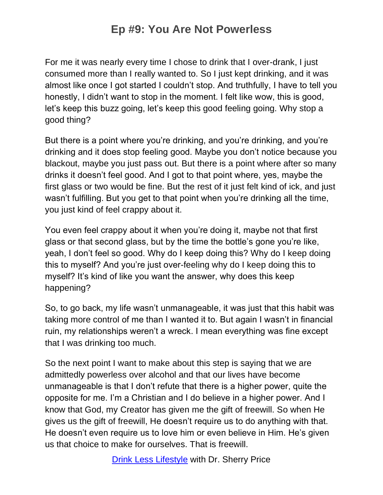For me it was nearly every time I chose to drink that I over-drank, I just consumed more than I really wanted to. So I just kept drinking, and it was almost like once I got started I couldn't stop. And truthfully, I have to tell you honestly, I didn't want to stop in the moment. I felt like wow, this is good, let's keep this buzz going, let's keep this good feeling going. Why stop a good thing?

But there is a point where you're drinking, and you're drinking, and you're drinking and it does stop feeling good. Maybe you don't notice because you blackout, maybe you just pass out. But there is a point where after so many drinks it doesn't feel good. And I got to that point where, yes, maybe the first glass or two would be fine. But the rest of it just felt kind of ick, and just wasn't fulfilling. But you get to that point when you're drinking all the time, you just kind of feel crappy about it.

You even feel crappy about it when you're doing it, maybe not that first glass or that second glass, but by the time the bottle's gone you're like, yeah, I don't feel so good. Why do I keep doing this? Why do I keep doing this to myself? And you're just over-feeling why do I keep doing this to myself? It's kind of like you want the answer, why does this keep happening?

So, to go back, my life wasn't unmanageable, it was just that this habit was taking more control of me than I wanted it to. But again I wasn't in financial ruin, my relationships weren't a wreck. I mean everything was fine except that I was drinking too much.

So the next point I want to make about this step is saying that we are admittedly powerless over alcohol and that our lives have become unmanageable is that I don't refute that there is a higher power, quite the opposite for me. I'm a Christian and I do believe in a higher power. And I know that God, my Creator has given me the gift of freewill. So when He gives us the gift of freewill, He doesn't require us to do anything with that. He doesn't even require us to love him or even believe in Him. He's given us that choice to make for ourselves. That is freewill.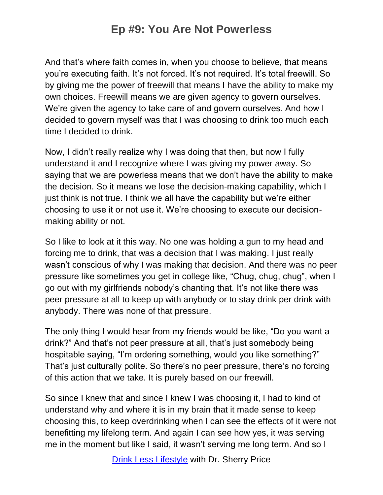And that's where faith comes in, when you choose to believe, that means you're executing faith. It's not forced. It's not required. It's total freewill. So by giving me the power of freewill that means I have the ability to make my own choices. Freewill means we are given agency to govern ourselves. We're given the agency to take care of and govern ourselves. And how I decided to govern myself was that I was choosing to drink too much each time I decided to drink.

Now, I didn't really realize why I was doing that then, but now I fully understand it and I recognize where I was giving my power away. So saying that we are powerless means that we don't have the ability to make the decision. So it means we lose the decision-making capability, which I just think is not true. I think we all have the capability but we're either choosing to use it or not use it. We're choosing to execute our decisionmaking ability or not.

So I like to look at it this way. No one was holding a gun to my head and forcing me to drink, that was a decision that I was making. I just really wasn't conscious of why I was making that decision. And there was no peer pressure like sometimes you get in college like, "Chug, chug, chug", when I go out with my girlfriends nobody's chanting that. It's not like there was peer pressure at all to keep up with anybody or to stay drink per drink with anybody. There was none of that pressure.

The only thing I would hear from my friends would be like, "Do you want a drink?" And that's not peer pressure at all, that's just somebody being hospitable saying, "I'm ordering something, would you like something?" That's just culturally polite. So there's no peer pressure, there's no forcing of this action that we take. It is purely based on our freewill.

So since I knew that and since I knew I was choosing it, I had to kind of understand why and where it is in my brain that it made sense to keep choosing this, to keep overdrinking when I can see the effects of it were not benefitting my lifelong term. And again I can see how yes, it was serving me in the moment but like I said, it wasn't serving me long term. And so I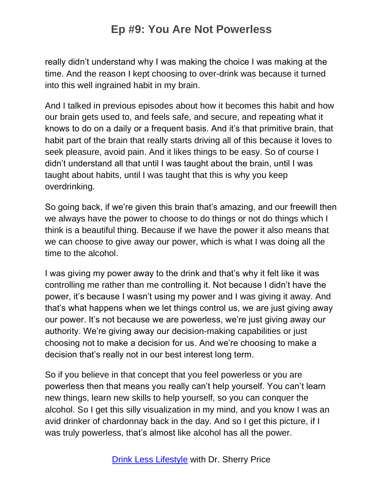really didn't understand why I was making the choice I was making at the time. And the reason I kept choosing to over-drink was because it turned into this well ingrained habit in my brain.

And I talked in previous episodes about how it becomes this habit and how our brain gets used to, and feels safe, and secure, and repeating what it knows to do on a daily or a frequent basis. And it's that primitive brain, that habit part of the brain that really starts driving all of this because it loves to seek pleasure, avoid pain. And it likes things to be easy. So of course I didn't understand all that until I was taught about the brain, until I was taught about habits, until I was taught that this is why you keep overdrinking.

So going back, if we're given this brain that's amazing, and our freewill then we always have the power to choose to do things or not do things which I think is a beautiful thing. Because if we have the power it also means that we can choose to give away our power, which is what I was doing all the time to the alcohol.

I was giving my power away to the drink and that's why it felt like it was controlling me rather than me controlling it. Not because I didn't have the power, it's because I wasn't using my power and I was giving it away. And that's what happens when we let things control us, we are just giving away our power. It's not because we are powerless, we're just giving away our authority. We're giving away our decision-making capabilities or just choosing not to make a decision for us. And we're choosing to make a decision that's really not in our best interest long term.

So if you believe in that concept that you feel powerless or you are powerless then that means you really can't help yourself. You can't learn new things, learn new skills to help yourself, so you can conquer the alcohol. So I get this silly visualization in my mind, and you know I was an avid drinker of chardonnay back in the day. And so I get this picture, if I was truly powerless, that's almost like alcohol has all the power.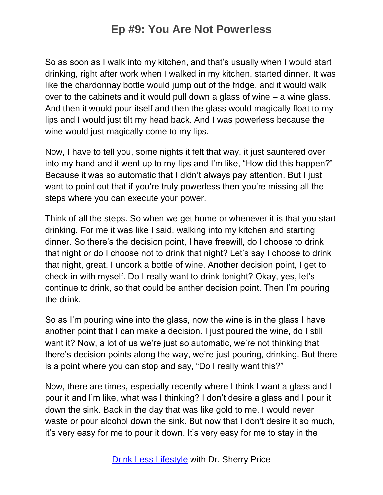So as soon as I walk into my kitchen, and that's usually when I would start drinking, right after work when I walked in my kitchen, started dinner. It was like the chardonnay bottle would jump out of the fridge, and it would walk over to the cabinets and it would pull down a glass of wine – a wine glass. And then it would pour itself and then the glass would magically float to my lips and I would just tilt my head back. And I was powerless because the wine would just magically come to my lips.

Now, I have to tell you, some nights it felt that way, it just sauntered over into my hand and it went up to my lips and I'm like, "How did this happen?" Because it was so automatic that I didn't always pay attention. But I just want to point out that if you're truly powerless then you're missing all the steps where you can execute your power.

Think of all the steps. So when we get home or whenever it is that you start drinking. For me it was like I said, walking into my kitchen and starting dinner. So there's the decision point, I have freewill, do I choose to drink that night or do I choose not to drink that night? Let's say I choose to drink that night, great, I uncork a bottle of wine. Another decision point, I get to check-in with myself. Do I really want to drink tonight? Okay, yes, let's continue to drink, so that could be anther decision point. Then I'm pouring the drink.

So as I'm pouring wine into the glass, now the wine is in the glass I have another point that I can make a decision. I just poured the wine, do I still want it? Now, a lot of us we're just so automatic, we're not thinking that there's decision points along the way, we're just pouring, drinking. But there is a point where you can stop and say, "Do I really want this?"

Now, there are times, especially recently where I think I want a glass and I pour it and I'm like, what was I thinking? I don't desire a glass and I pour it down the sink. Back in the day that was like gold to me, I would never waste or pour alcohol down the sink. But now that I don't desire it so much, it's very easy for me to pour it down. It's very easy for me to stay in the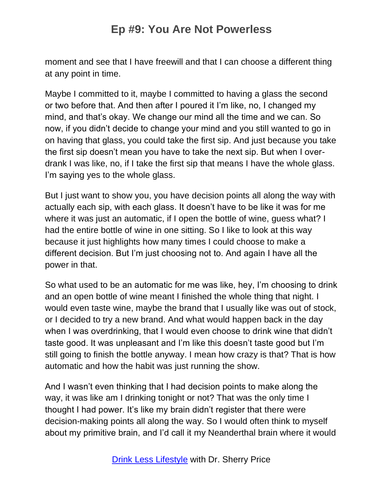moment and see that I have freewill and that I can choose a different thing at any point in time.

Maybe I committed to it, maybe I committed to having a glass the second or two before that. And then after I poured it I'm like, no, I changed my mind, and that's okay. We change our mind all the time and we can. So now, if you didn't decide to change your mind and you still wanted to go in on having that glass, you could take the first sip. And just because you take the first sip doesn't mean you have to take the next sip. But when I overdrank I was like, no, if I take the first sip that means I have the whole glass. I'm saying yes to the whole glass.

But I just want to show you, you have decision points all along the way with actually each sip, with each glass. It doesn't have to be like it was for me where it was just an automatic, if I open the bottle of wine, guess what? I had the entire bottle of wine in one sitting. So I like to look at this way because it just highlights how many times I could choose to make a different decision. But I'm just choosing not to. And again I have all the power in that.

So what used to be an automatic for me was like, hey, I'm choosing to drink and an open bottle of wine meant I finished the whole thing that night. I would even taste wine, maybe the brand that I usually like was out of stock, or I decided to try a new brand. And what would happen back in the day when I was overdrinking, that I would even choose to drink wine that didn't taste good. It was unpleasant and I'm like this doesn't taste good but I'm still going to finish the bottle anyway. I mean how crazy is that? That is how automatic and how the habit was just running the show.

And I wasn't even thinking that I had decision points to make along the way, it was like am I drinking tonight or not? That was the only time I thought I had power. It's like my brain didn't register that there were decision-making points all along the way. So I would often think to myself about my primitive brain, and I'd call it my Neanderthal brain where it would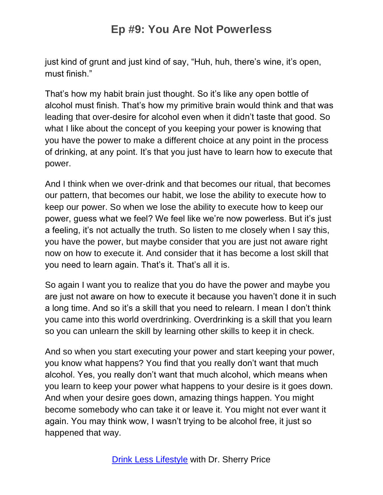just kind of grunt and just kind of say, "Huh, huh, there's wine, it's open, must finish."

That's how my habit brain just thought. So it's like any open bottle of alcohol must finish. That's how my primitive brain would think and that was leading that over-desire for alcohol even when it didn't taste that good. So what I like about the concept of you keeping your power is knowing that you have the power to make a different choice at any point in the process of drinking, at any point. It's that you just have to learn how to execute that power.

And I think when we over-drink and that becomes our ritual, that becomes our pattern, that becomes our habit, we lose the ability to execute how to keep our power. So when we lose the ability to execute how to keep our power, guess what we feel? We feel like we're now powerless. But it's just a feeling, it's not actually the truth. So listen to me closely when I say this, you have the power, but maybe consider that you are just not aware right now on how to execute it. And consider that it has become a lost skill that you need to learn again. That's it. That's all it is.

So again I want you to realize that you do have the power and maybe you are just not aware on how to execute it because you haven't done it in such a long time. And so it's a skill that you need to relearn. I mean I don't think you came into this world overdrinking. Overdrinking is a skill that you learn so you can unlearn the skill by learning other skills to keep it in check.

And so when you start executing your power and start keeping your power, you know what happens? You find that you really don't want that much alcohol. Yes, you really don't want that much alcohol, which means when you learn to keep your power what happens to your desire is it goes down. And when your desire goes down, amazing things happen. You might become somebody who can take it or leave it. You might not ever want it again. You may think wow, I wasn't trying to be alcohol free, it just so happened that way.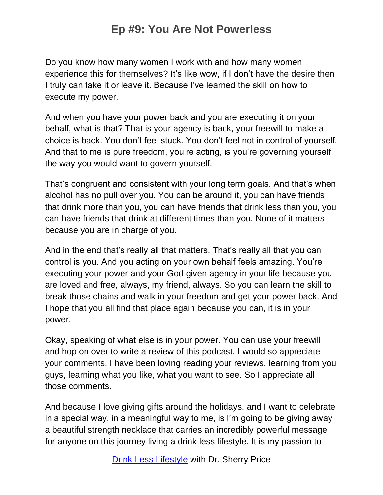Do you know how many women I work with and how many women experience this for themselves? It's like wow, if I don't have the desire then I truly can take it or leave it. Because I've learned the skill on how to execute my power.

And when you have your power back and you are executing it on your behalf, what is that? That is your agency is back, your freewill to make a choice is back. You don't feel stuck. You don't feel not in control of yourself. And that to me is pure freedom, you're acting, is you're governing yourself the way you would want to govern yourself.

That's congruent and consistent with your long term goals. And that's when alcohol has no pull over you. You can be around it, you can have friends that drink more than you, you can have friends that drink less than you, you can have friends that drink at different times than you. None of it matters because you are in charge of you.

And in the end that's really all that matters. That's really all that you can control is you. And you acting on your own behalf feels amazing. You're executing your power and your God given agency in your life because you are loved and free, always, my friend, always. So you can learn the skill to break those chains and walk in your freedom and get your power back. And I hope that you all find that place again because you can, it is in your power.

Okay, speaking of what else is in your power. You can use your freewill and hop on over to write a review of this podcast. I would so appreciate your comments. I have been loving reading your reviews, learning from you guys, learning what you like, what you want to see. So I appreciate all those comments.

And because I love giving gifts around the holidays, and I want to celebrate in a special way, in a meaningful way to me, is I'm going to be giving away a beautiful strength necklace that carries an incredibly powerful message for anyone on this journey living a drink less lifestyle. It is my passion to